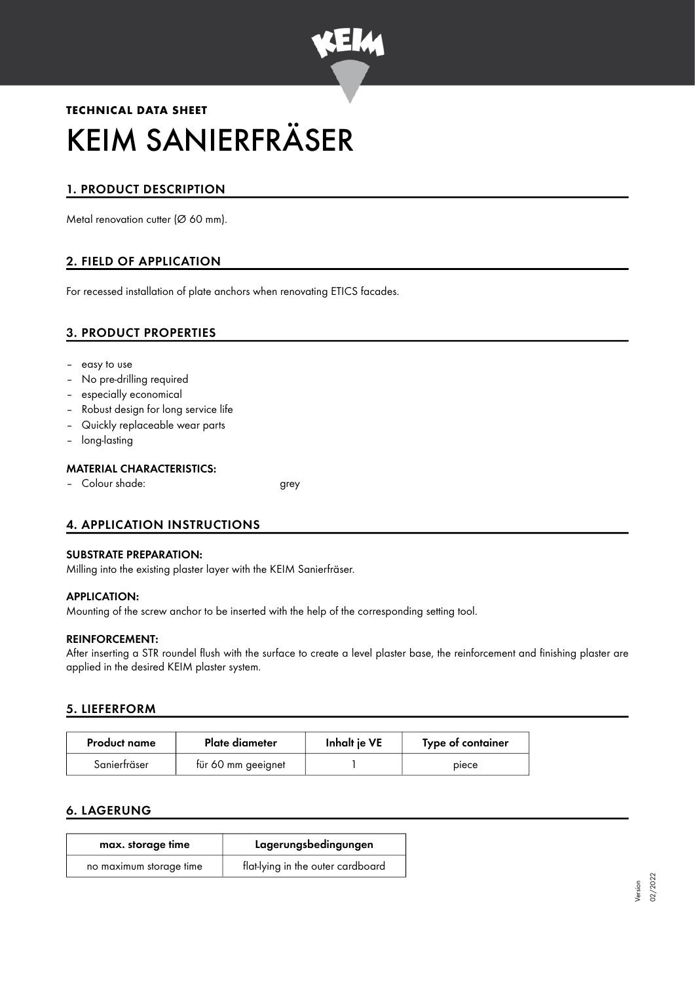

# **TECHNICAL DATA SHEET** KEIM SANIERFRÄSER

# 1. PRODUCT DESCRIPTION

Metal renovation cutter (Ø 60 mm).

# 2. FIELD OF APPLICATION

For recessed installation of plate anchors when renovating ETICS facades.

# 3. PRODUCT PROPERTIES

- easy to use
- No pre-drilling required
- especially economical
- Robust design for long service life
- Quickly replaceable wear parts
- long-lasting

#### MATERIAL CHARACTERISTICS:

– Colour shade: grey

# 4. APPLICATION INSTRUCTIONS

#### SUBSTRATE PREPARATION:

Milling into the existing plaster layer with the KEIM Sanierfräser.

#### APPLICATION:

Mounting of the screw anchor to be inserted with the help of the corresponding setting tool.

#### REINFORCEMENT:

After inserting a STR roundel flush with the surface to create a level plaster base, the reinforcement and finishing plaster are applied in the desired KEIM plaster system.

## 5. LIEFERFORM

| <b>Product name</b> | Plate diameter     | Inhalt je VE | Type of container |
|---------------------|--------------------|--------------|-------------------|
| Sanierfräser        | für 60 mm geeignet |              | piece             |

## 6. LAGERUNG

| max. storage time       | Lagerungsbedingungen              |  |
|-------------------------|-----------------------------------|--|
| no maximum storage time | flat-lying in the outer cardboard |  |